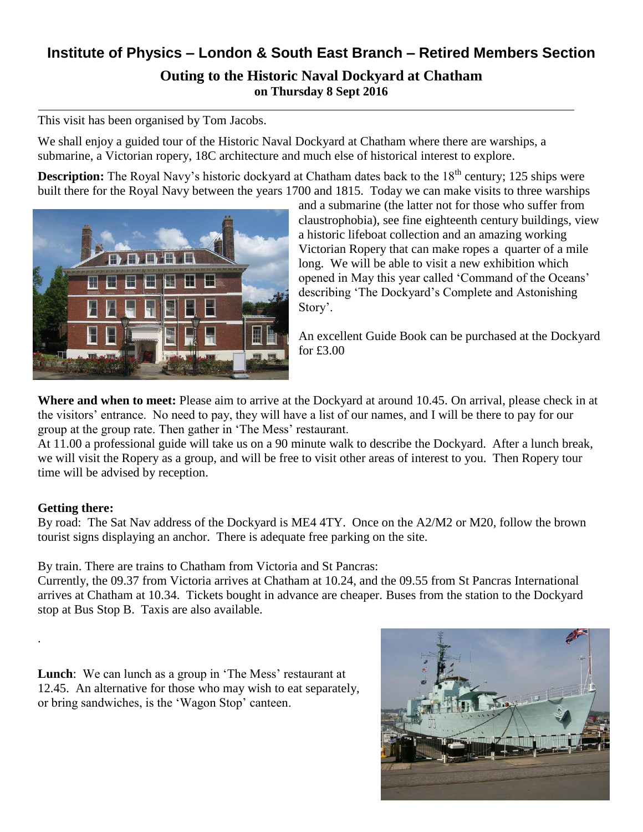## **Institute of Physics – London & South East Branch – Retired Members Section Outing to the Historic Naval Dockyard at Chatham on Thursday 8 Sept 2016**

This visit has been organised by Tom Jacobs.

We shall enjoy a guided tour of the Historic Naval Dockyard at Chatham where there are warships, a submarine, a Victorian ropery, 18C architecture and much else of historical interest to explore.

**Description:** The Royal Navy's historic dockyard at Chatham dates back to the 18<sup>th</sup> century; 125 ships were built there for the Royal Navy between the years 1700 and 1815. Today we can make visits to three warships



and a submarine (the latter not for those who suffer from claustrophobia), see fine eighteenth century buildings, view a historic lifeboat collection and an amazing working Victorian Ropery that can make ropes a quarter of a mile long. We will be able to visit a new exhibition which opened in May this year called 'Command of the Oceans' describing 'The Dockyard's Complete and Astonishing Story'.

An excellent Guide Book can be purchased at the Dockyard for £3.00

**Where and when to meet:** Please aim to arrive at the Dockyard at around 10.45. On arrival, please check in at the visitors' entrance. No need to pay, they will have a list of our names, and I will be there to pay for our group at the group rate. Then gather in 'The Mess' restaurant.

At 11.00 a professional guide will take us on a 90 minute walk to describe the Dockyard. After a lunch break, we will visit the Ropery as a group, and will be free to visit other areas of interest to you. Then Ropery tour time will be advised by reception.

## **Getting there:**

.

By road: The Sat Nav address of the Dockyard is ME4 4TY. Once on the A2/M2 or M20, follow the brown tourist signs displaying an anchor. There is adequate free parking on the site.

By train. There are trains to Chatham from Victoria and St Pancras:

Currently, the 09.37 from Victoria arrives at Chatham at 10.24, and the 09.55 from St Pancras International arrives at Chatham at 10.34. Tickets bought in advance are cheaper. Buses from the station to the Dockyard stop at Bus Stop B. Taxis are also available.

**Lunch**: We can lunch as a group in 'The Mess' restaurant at 12.45. An alternative for those who may wish to eat separately, or bring sandwiches, is the 'Wagon Stop' canteen.